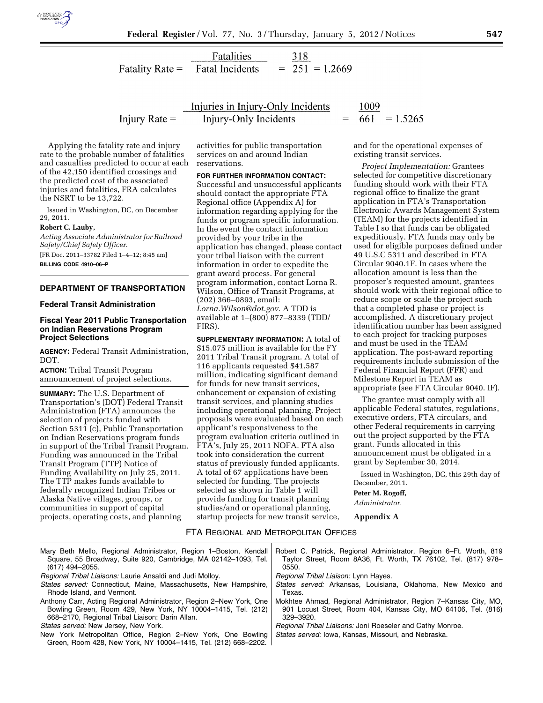

Fatalities 318 **Fatal Incidents**  $= 251 = 1.2669$ Fatality Rate  $=$ 

Injury Rate  $=$ 

Injuries in Injury-Only Incidents 1009 Injury-Only Incidents

Applying the fatality rate and injury rate to the probable number of fatalities and casualties predicted to occur at each of the 42,150 identified crossings and the predicted cost of the associated injuries and fatalities, FRA calculates the NSRT to be 13,722.

Issued in Washington, DC, on December 29, 2011.

#### **Robert C. Lauby,**

*Acting Associate Administrator for Railroad Safety/Chief Safety Officer.* 

[FR Doc. 2011–33782 Filed 1–4–12; 8:45 am] **BILLING CODE 4910–06–P** 

## **DEPARTMENT OF TRANSPORTATION**

#### **Federal Transit Administration**

### **Fiscal Year 2011 Public Transportation on Indian Reservations Program Project Selections**

**AGENCY:** Federal Transit Administration, DOT.

**ACTION:** Tribal Transit Program announcement of project selections.

**SUMMARY:** The U.S. Department of Transportation's (DOT) Federal Transit Administration (FTA) announces the selection of projects funded with Section 5311 (c), Public Transportation on Indian Reservations program funds in support of the Tribal Transit Program. Funding was announced in the Tribal Transit Program (TTP) Notice of Funding Availability on July 25, 2011. The TTP makes funds available to federally recognized Indian Tribes or Alaska Native villages, groups, or communities in support of capital projects, operating costs, and planning

activities for public transportation services on and around Indian reservations.

**FOR FURTHER INFORMATION CONTACT:**  Successful and unsuccessful applicants should contact the appropriate FTA Regional office (Appendix A) for information regarding applying for the funds or program specific information. In the event the contact information provided by your tribe in the application has changed, please contact your tribal liaison with the current information in order to expedite the grant award process. For general program information, contact Lorna R. Wilson, Office of Transit Programs, at (202) 366–0893, email: *[Lorna.Wilson@dot.gov.](mailto:Lorna.Wilson@dot.gov)* A TDD is available at 1–(800) 877–8339 (TDD/ FIRS).

**SUPPLEMENTARY INFORMATION:** A total of \$15.075 million is available for the FY 2011 Tribal Transit program. A total of 116 applicants requested \$41.587 million, indicating significant demand for funds for new transit services, enhancement or expansion of existing transit services, and planning studies including operational planning. Project proposals were evaluated based on each applicant's responsiveness to the program evaluation criteria outlined in FTA's, July 25, 2011 NOFA. FTA also took into consideration the current status of previously funded applicants. A total of 67 applications have been selected for funding. The projects selected as shown in Table 1 will provide funding for transit planning studies/and or operational planning, startup projects for new transit service,

 $661 = 1.5265$ 

and for the operational expenses of existing transit services.

*Project Implementation:* Grantees selected for competitive discretionary funding should work with their FTA regional office to finalize the grant application in FTA's Transportation Electronic Awards Management System (TEAM) for the projects identified in Table I so that funds can be obligated expeditiously. FTA funds may only be used for eligible purposes defined under 49 U.S.C 5311 and described in FTA Circular 9040.1F. In cases where the allocation amount is less than the proposer's requested amount, grantees should work with their regional office to reduce scope or scale the project such that a completed phase or project is accomplished. A discretionary project identification number has been assigned to each project for tracking purposes and must be used in the TEAM application. The post-award reporting requirements include submission of the Federal Financial Report (FFR) and Milestone Report in TEAM as appropriate (see FTA Circular 9040. IF).

The grantee must comply with all applicable Federal statutes, regulations, executive orders, FTA circulars, and other Federal requirements in carrying out the project supported by the FTA grant. Funds allocated in this announcement must be obligated in a grant by September 30, 2014.

Issued in Washington, DC, this 29th day of December, 2011.

#### **Peter M. Rogoff,**

*Administrator.* 

**Appendix A** 

# FTA REGIONAL AND METROPOLITAN OFFICES

| Mary Beth Mello, Regional Administrator, Region 1–Boston, Kendall                                                              | Robert C. Patrick, Regional Administrator, Region 6–Ft. Worth, 819 |
|--------------------------------------------------------------------------------------------------------------------------------|--------------------------------------------------------------------|
| Square, 55 Broadway, Suite 920, Cambridge, MA 02142-1093, Tel.                                                                 | Taylor Street, Room 8A36, Ft. Worth, TX 76102, Tel. (817) 978-     |
| (617) 494-2055.                                                                                                                | 0550.                                                              |
| Regional Tribal Liaisons: Laurie Ansaldi and Judi Molloy.                                                                      | Regional Tribal Liaison: Lynn Hayes.                               |
| States served: Connecticut, Maine, Massachusetts, New Hampshire,                                                               | States served: Arkansas, Louisiana, Oklahoma, New Mexico and       |
| Rhode Island, and Vermont.                                                                                                     | Texas.                                                             |
| Anthony Carr, Acting Regional Administrator, Region 2–New York, One                                                            | Mokhtee Ahmad, Regional Administrator, Region 7–Kansas City, MO,   |
| Bowling Green, Room 429, New York, NY 10004-1415, Tel. (212)                                                                   | 901 Locust Street, Room 404, Kansas City, MO 64106, Tel. (816)     |
| 668–2170, Regional Tribal Liaison: Darin Allan.                                                                                | 329-3920.                                                          |
| States served: New Jersey, New York.                                                                                           | <i>Regional Tribal Liaisons: Joni Roeseler and Cathy Monroe.</i>   |
| New York Metropolitan Office, Region 2–New York, One Bowling<br>Green, Room 428, New York, NY 10004-1415, Tel. (212) 668-2202. | States served: Iowa, Kansas, Missouri, and Nebraska.               |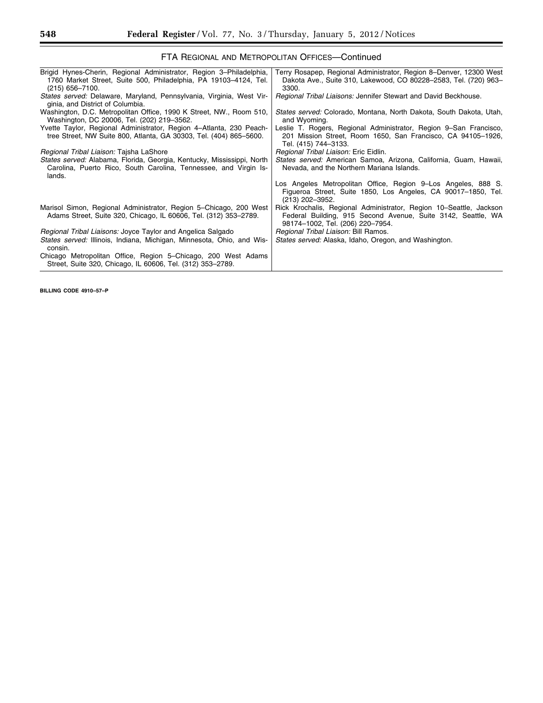Ξ

| FTA REGIONAL AND METROPOLITAN OFFICES-Continued                                                                                                              |                                                                                                                                                                        |  |  |
|--------------------------------------------------------------------------------------------------------------------------------------------------------------|------------------------------------------------------------------------------------------------------------------------------------------------------------------------|--|--|
| Brigid Hynes-Cherin, Regional Administrator, Region 3-Philadelphia,<br>1760 Market Street, Suite 500, Philadelphia, PA 19103-4124, Tel.<br>$(215)$ 656-7100. | Terry Rosapep, Regional Administrator, Region 8–Denver, 12300 West<br>Dakota Ave., Suite 310, Lakewood, CO 80228-2583, Tel. (720) 963-<br>3300.                        |  |  |
| States served: Delaware, Maryland, Pennsylvania, Virginia, West Vir-<br>ginia, and District of Columbia.                                                     | Regional Tribal Liaisons: Jennifer Stewart and David Beckhouse.                                                                                                        |  |  |
| Washington, D.C. Metropolitan Office, 1990 K Street, NW., Room 510,<br>Washington, DC 20006, Tel. (202) 219-3562.                                            | <i>States served:</i> Colorado, Montana, North Dakota, South Dakota, Utah,<br>and Wyoming.                                                                             |  |  |
| Yvette Taylor, Regional Administrator, Region 4–Atlanta, 230 Peach-<br>tree Street, NW Suite 800, Atlanta, GA 30303, Tel. (404) 865-5600.                    | Leslie T. Rogers, Regional Administrator, Region 9–San Francisco,<br>201 Mission Street, Room 1650, San Francisco, CA 94105-1926,<br>Tel. (415) 744-3133.              |  |  |
| Regional Tribal Liaison: Tajsha LaShore                                                                                                                      | Regional Tribal Liaison: Eric Eidlin.                                                                                                                                  |  |  |
| States served: Alabama, Florida, Georgia, Kentucky, Mississippi, North<br>Carolina, Puerto Rico, South Carolina, Tennessee, and Virgin Is-<br>lands.         | States served: American Samoa, Arizona, California, Guam, Hawaii,<br>Nevada, and the Northern Mariana Islands.                                                         |  |  |
|                                                                                                                                                              | Los Angeles Metropolitan Office, Region 9–Los Angeles, 888 S.<br>Figueroa Street, Suite 1850, Los Angeles, CA 90017-1850, Tel.<br>$(213)$ 202-3952.                    |  |  |
| Marisol Simon, Regional Administrator, Region 5–Chicago, 200 West<br>Adams Street, Suite 320, Chicago, IL 60606, Tel. (312) 353–2789.                        | Rick Krochalis, Regional Administrator, Region 10–Seattle, Jackson<br>Federal Building, 915 Second Avenue, Suite 3142, Seattle, WA<br>98174-1002, Tel. (206) 220-7954. |  |  |
| Regional Tribal Liaisons: Joyce Taylor and Angelica Salgado                                                                                                  | Regional Tribal Liaison: Bill Ramos.                                                                                                                                   |  |  |
| States served: Illinois, Indiana, Michigan, Minnesota, Ohio, and Wis-<br>consin.                                                                             | <i>States served:</i> Alaska, Idaho, Oregon, and Washington.                                                                                                           |  |  |
| Chicago Metropolitan Office, Region 5–Chicago, 200 West Adams<br>Street, Suite 320, Chicago, IL 60606, Tel. (312) 353-2789.                                  |                                                                                                                                                                        |  |  |

**BILLING CODE 4910–57–P**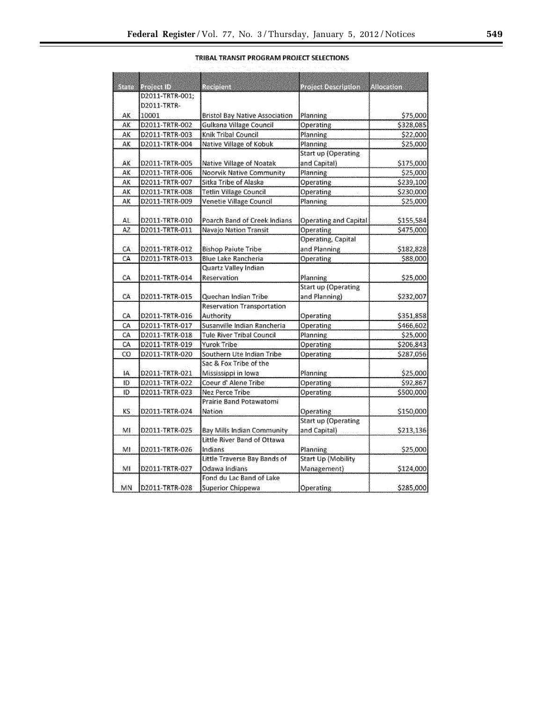|                                                                                                                 |  | TRIBAL TRANSIT PROGRAM PROJECT SELECTIONS                   |
|-----------------------------------------------------------------------------------------------------------------|--|-------------------------------------------------------------|
|                                                                                                                 |  |                                                             |
| the contract of the contract of the contract of the contract of the contract of the contract of the contract of |  | そうそう しょみこみ こうそうしょう ひとこう キャプラブ こうみょう おおみ コンティオ ひとくせせい おていたいし |

| D2011-TRTR-001;<br>D2011-TRTR-<br>AK<br>10001<br><b>Bristol Bay Native Association</b><br>Planning<br>\$75,000<br>D2011-TRTR-002<br>Gulkana Village Council<br>Operating<br>\$328,085<br>AK<br>Knik Tribal Council<br>AK<br>D2011-TRTR-003<br>Planning<br>\$22,000<br>Planning<br>AK.<br>D2011-TRTR-004<br>Native Village of Kobuk<br>\$25,000<br><b>Start up (Operating</b><br>AK<br>D2011-TRTR-005<br>and Capital)<br>\$175,000<br>Native Village of Noatak<br>AK<br>D2011-TRTR-006<br><b>Noorvik Native Community</b><br>Planning<br>\$25,000<br>Sitka Tribe of Alaska<br>АK<br>D2011-TRTR-007<br><b>Operating</b><br>\$239,100<br>ÄK<br><b>Tetlin Village Council</b><br>Operating<br>D2011-TRTR-008<br>\$230,000<br>Venetie Village Council<br><b>Planning</b><br>AK<br>\$25,000<br>D2011-TRTR-009<br>AL.<br>D2011-TRTR-010<br>Poarch Band of Creek Indians<br><b>Operating and Capital</b><br>\$155,584<br>AZ.<br>Navajo Nation Transit<br>D2011-TRTR-011<br>Operating<br>\$475,000<br>Operating, Capital<br>and Planning<br>СA<br>D2011-TRTR-012<br><b>Bishop Paiute Tribe</b><br>\$182,828<br><b>Blue Lake Rancheria</b><br>CA<br>D2011-TRTR-013<br>Operating<br>\$88,000<br>Quartz Valley Indian<br>CA<br>Reservation<br>Planning<br>\$25,000<br>D2011-TRTR-014<br><b>Start up (Operating</b><br>and Planning)<br>СA<br>D2011-TRTR-015<br>Quechan Indian Tribe<br>\$232,007<br><b>Reservation Transportation</b><br>CA.<br>Authority<br>D2011-TRTR-016<br>Operating<br>\$351,858<br>Susanville Indian Rancheria<br>CA<br>D2011-TRTR-017<br>Operating<br>\$466,602<br>Planning<br>CA<br>D2011-TRTR-018<br><b>Tule River Tribal Council</b><br>\$25,000 | State | Project ID | Recipient |                     | Allocation |
|----------------------------------------------------------------------------------------------------------------------------------------------------------------------------------------------------------------------------------------------------------------------------------------------------------------------------------------------------------------------------------------------------------------------------------------------------------------------------------------------------------------------------------------------------------------------------------------------------------------------------------------------------------------------------------------------------------------------------------------------------------------------------------------------------------------------------------------------------------------------------------------------------------------------------------------------------------------------------------------------------------------------------------------------------------------------------------------------------------------------------------------------------------------------------------------------------------------------------------------------------------------------------------------------------------------------------------------------------------------------------------------------------------------------------------------------------------------------------------------------------------------------------------------------------------------------------------------------------------------------------------------------------------------|-------|------------|-----------|---------------------|------------|
|                                                                                                                                                                                                                                                                                                                                                                                                                                                                                                                                                                                                                                                                                                                                                                                                                                                                                                                                                                                                                                                                                                                                                                                                                                                                                                                                                                                                                                                                                                                                                                                                                                                                |       |            |           | Project Description |            |
|                                                                                                                                                                                                                                                                                                                                                                                                                                                                                                                                                                                                                                                                                                                                                                                                                                                                                                                                                                                                                                                                                                                                                                                                                                                                                                                                                                                                                                                                                                                                                                                                                                                                |       |            |           |                     |            |
|                                                                                                                                                                                                                                                                                                                                                                                                                                                                                                                                                                                                                                                                                                                                                                                                                                                                                                                                                                                                                                                                                                                                                                                                                                                                                                                                                                                                                                                                                                                                                                                                                                                                |       |            |           |                     |            |
|                                                                                                                                                                                                                                                                                                                                                                                                                                                                                                                                                                                                                                                                                                                                                                                                                                                                                                                                                                                                                                                                                                                                                                                                                                                                                                                                                                                                                                                                                                                                                                                                                                                                |       |            |           |                     |            |
|                                                                                                                                                                                                                                                                                                                                                                                                                                                                                                                                                                                                                                                                                                                                                                                                                                                                                                                                                                                                                                                                                                                                                                                                                                                                                                                                                                                                                                                                                                                                                                                                                                                                |       |            |           |                     |            |
|                                                                                                                                                                                                                                                                                                                                                                                                                                                                                                                                                                                                                                                                                                                                                                                                                                                                                                                                                                                                                                                                                                                                                                                                                                                                                                                                                                                                                                                                                                                                                                                                                                                                |       |            |           |                     |            |
|                                                                                                                                                                                                                                                                                                                                                                                                                                                                                                                                                                                                                                                                                                                                                                                                                                                                                                                                                                                                                                                                                                                                                                                                                                                                                                                                                                                                                                                                                                                                                                                                                                                                |       |            |           |                     |            |
|                                                                                                                                                                                                                                                                                                                                                                                                                                                                                                                                                                                                                                                                                                                                                                                                                                                                                                                                                                                                                                                                                                                                                                                                                                                                                                                                                                                                                                                                                                                                                                                                                                                                |       |            |           |                     |            |
|                                                                                                                                                                                                                                                                                                                                                                                                                                                                                                                                                                                                                                                                                                                                                                                                                                                                                                                                                                                                                                                                                                                                                                                                                                                                                                                                                                                                                                                                                                                                                                                                                                                                |       |            |           |                     |            |
|                                                                                                                                                                                                                                                                                                                                                                                                                                                                                                                                                                                                                                                                                                                                                                                                                                                                                                                                                                                                                                                                                                                                                                                                                                                                                                                                                                                                                                                                                                                                                                                                                                                                |       |            |           |                     |            |
|                                                                                                                                                                                                                                                                                                                                                                                                                                                                                                                                                                                                                                                                                                                                                                                                                                                                                                                                                                                                                                                                                                                                                                                                                                                                                                                                                                                                                                                                                                                                                                                                                                                                |       |            |           |                     |            |
|                                                                                                                                                                                                                                                                                                                                                                                                                                                                                                                                                                                                                                                                                                                                                                                                                                                                                                                                                                                                                                                                                                                                                                                                                                                                                                                                                                                                                                                                                                                                                                                                                                                                |       |            |           |                     |            |
|                                                                                                                                                                                                                                                                                                                                                                                                                                                                                                                                                                                                                                                                                                                                                                                                                                                                                                                                                                                                                                                                                                                                                                                                                                                                                                                                                                                                                                                                                                                                                                                                                                                                |       |            |           |                     |            |
|                                                                                                                                                                                                                                                                                                                                                                                                                                                                                                                                                                                                                                                                                                                                                                                                                                                                                                                                                                                                                                                                                                                                                                                                                                                                                                                                                                                                                                                                                                                                                                                                                                                                |       |            |           |                     |            |
|                                                                                                                                                                                                                                                                                                                                                                                                                                                                                                                                                                                                                                                                                                                                                                                                                                                                                                                                                                                                                                                                                                                                                                                                                                                                                                                                                                                                                                                                                                                                                                                                                                                                |       |            |           |                     |            |
|                                                                                                                                                                                                                                                                                                                                                                                                                                                                                                                                                                                                                                                                                                                                                                                                                                                                                                                                                                                                                                                                                                                                                                                                                                                                                                                                                                                                                                                                                                                                                                                                                                                                |       |            |           |                     |            |
|                                                                                                                                                                                                                                                                                                                                                                                                                                                                                                                                                                                                                                                                                                                                                                                                                                                                                                                                                                                                                                                                                                                                                                                                                                                                                                                                                                                                                                                                                                                                                                                                                                                                |       |            |           |                     |            |
|                                                                                                                                                                                                                                                                                                                                                                                                                                                                                                                                                                                                                                                                                                                                                                                                                                                                                                                                                                                                                                                                                                                                                                                                                                                                                                                                                                                                                                                                                                                                                                                                                                                                |       |            |           |                     |            |
|                                                                                                                                                                                                                                                                                                                                                                                                                                                                                                                                                                                                                                                                                                                                                                                                                                                                                                                                                                                                                                                                                                                                                                                                                                                                                                                                                                                                                                                                                                                                                                                                                                                                |       |            |           |                     |            |
|                                                                                                                                                                                                                                                                                                                                                                                                                                                                                                                                                                                                                                                                                                                                                                                                                                                                                                                                                                                                                                                                                                                                                                                                                                                                                                                                                                                                                                                                                                                                                                                                                                                                |       |            |           |                     |            |
|                                                                                                                                                                                                                                                                                                                                                                                                                                                                                                                                                                                                                                                                                                                                                                                                                                                                                                                                                                                                                                                                                                                                                                                                                                                                                                                                                                                                                                                                                                                                                                                                                                                                |       |            |           |                     |            |
|                                                                                                                                                                                                                                                                                                                                                                                                                                                                                                                                                                                                                                                                                                                                                                                                                                                                                                                                                                                                                                                                                                                                                                                                                                                                                                                                                                                                                                                                                                                                                                                                                                                                |       |            |           |                     |            |
|                                                                                                                                                                                                                                                                                                                                                                                                                                                                                                                                                                                                                                                                                                                                                                                                                                                                                                                                                                                                                                                                                                                                                                                                                                                                                                                                                                                                                                                                                                                                                                                                                                                                |       |            |           |                     |            |
|                                                                                                                                                                                                                                                                                                                                                                                                                                                                                                                                                                                                                                                                                                                                                                                                                                                                                                                                                                                                                                                                                                                                                                                                                                                                                                                                                                                                                                                                                                                                                                                                                                                                |       |            |           |                     |            |
|                                                                                                                                                                                                                                                                                                                                                                                                                                                                                                                                                                                                                                                                                                                                                                                                                                                                                                                                                                                                                                                                                                                                                                                                                                                                                                                                                                                                                                                                                                                                                                                                                                                                |       |            |           |                     |            |
|                                                                                                                                                                                                                                                                                                                                                                                                                                                                                                                                                                                                                                                                                                                                                                                                                                                                                                                                                                                                                                                                                                                                                                                                                                                                                                                                                                                                                                                                                                                                                                                                                                                                |       |            |           |                     |            |
| CA.<br>Yurok Tribe<br>D2011-TRTR-019                                                                                                                                                                                                                                                                                                                                                                                                                                                                                                                                                                                                                                                                                                                                                                                                                                                                                                                                                                                                                                                                                                                                                                                                                                                                                                                                                                                                                                                                                                                                                                                                                           |       |            |           | <b>Operating</b>    | \$206,843  |
| CO<br>D2011-TRTR-020<br>Southern Ute Indian Tribe<br>Operating                                                                                                                                                                                                                                                                                                                                                                                                                                                                                                                                                                                                                                                                                                                                                                                                                                                                                                                                                                                                                                                                                                                                                                                                                                                                                                                                                                                                                                                                                                                                                                                                 |       |            |           |                     | \$287,056  |
| Sac & Fox Tribe of the                                                                                                                                                                                                                                                                                                                                                                                                                                                                                                                                                                                                                                                                                                                                                                                                                                                                                                                                                                                                                                                                                                                                                                                                                                                                                                                                                                                                                                                                                                                                                                                                                                         |       |            |           |                     |            |
| IA.<br>D2011-TRTR-021<br>Mississippi in Iowa<br>Planning                                                                                                                                                                                                                                                                                                                                                                                                                                                                                                                                                                                                                                                                                                                                                                                                                                                                                                                                                                                                                                                                                                                                                                                                                                                                                                                                                                                                                                                                                                                                                                                                       |       |            |           |                     | \$25,000   |
| Coeur d' Alene Tribe<br>ID<br>Operating<br>D2011-TRTR-022                                                                                                                                                                                                                                                                                                                                                                                                                                                                                                                                                                                                                                                                                                                                                                                                                                                                                                                                                                                                                                                                                                                                                                                                                                                                                                                                                                                                                                                                                                                                                                                                      |       |            |           |                     | \$92,867   |
| ID<br>D2011-TRTR-023<br>Nez Perce Tribe<br><b>Operating</b>                                                                                                                                                                                                                                                                                                                                                                                                                                                                                                                                                                                                                                                                                                                                                                                                                                                                                                                                                                                                                                                                                                                                                                                                                                                                                                                                                                                                                                                                                                                                                                                                    |       |            |           |                     | \$500,000  |
| Prairie Band Potawatomi                                                                                                                                                                                                                                                                                                                                                                                                                                                                                                                                                                                                                                                                                                                                                                                                                                                                                                                                                                                                                                                                                                                                                                                                                                                                                                                                                                                                                                                                                                                                                                                                                                        |       |            |           |                     |            |
| KS<br>D2011-TRTR-024<br>Nation<br>Operating                                                                                                                                                                                                                                                                                                                                                                                                                                                                                                                                                                                                                                                                                                                                                                                                                                                                                                                                                                                                                                                                                                                                                                                                                                                                                                                                                                                                                                                                                                                                                                                                                    |       |            |           |                     | \$150,000  |
| <b>Start up (Operating</b>                                                                                                                                                                                                                                                                                                                                                                                                                                                                                                                                                                                                                                                                                                                                                                                                                                                                                                                                                                                                                                                                                                                                                                                                                                                                                                                                                                                                                                                                                                                                                                                                                                     |       |            |           |                     |            |
| and Capital)<br>MI<br>D2011-TRTR-025<br>Bay Mills Indian Community                                                                                                                                                                                                                                                                                                                                                                                                                                                                                                                                                                                                                                                                                                                                                                                                                                                                                                                                                                                                                                                                                                                                                                                                                                                                                                                                                                                                                                                                                                                                                                                             |       |            |           |                     | \$213,136  |
| Little River Band of Ottawa                                                                                                                                                                                                                                                                                                                                                                                                                                                                                                                                                                                                                                                                                                                                                                                                                                                                                                                                                                                                                                                                                                                                                                                                                                                                                                                                                                                                                                                                                                                                                                                                                                    |       |            |           |                     |            |
| MI<br>D2011-TRTR-026<br>Indians<br><b>Planning</b>                                                                                                                                                                                                                                                                                                                                                                                                                                                                                                                                                                                                                                                                                                                                                                                                                                                                                                                                                                                                                                                                                                                                                                                                                                                                                                                                                                                                                                                                                                                                                                                                             |       |            |           |                     | \$25,000   |
| Little Traverse Bay Bands of<br><b>Start Up (Mobility</b>                                                                                                                                                                                                                                                                                                                                                                                                                                                                                                                                                                                                                                                                                                                                                                                                                                                                                                                                                                                                                                                                                                                                                                                                                                                                                                                                                                                                                                                                                                                                                                                                      |       |            |           |                     |            |
| Management)<br>MI<br>D2011-TRTR-027<br>Odawa Indians                                                                                                                                                                                                                                                                                                                                                                                                                                                                                                                                                                                                                                                                                                                                                                                                                                                                                                                                                                                                                                                                                                                                                                                                                                                                                                                                                                                                                                                                                                                                                                                                           |       |            |           |                     | \$124,000  |
| Fond du Lac Band of Lake                                                                                                                                                                                                                                                                                                                                                                                                                                                                                                                                                                                                                                                                                                                                                                                                                                                                                                                                                                                                                                                                                                                                                                                                                                                                                                                                                                                                                                                                                                                                                                                                                                       |       |            |           |                     |            |
| MN<br>D2011-TRTR-028<br>Superior Chippewa<br>Operating                                                                                                                                                                                                                                                                                                                                                                                                                                                                                                                                                                                                                                                                                                                                                                                                                                                                                                                                                                                                                                                                                                                                                                                                                                                                                                                                                                                                                                                                                                                                                                                                         |       |            |           |                     | \$285,000  |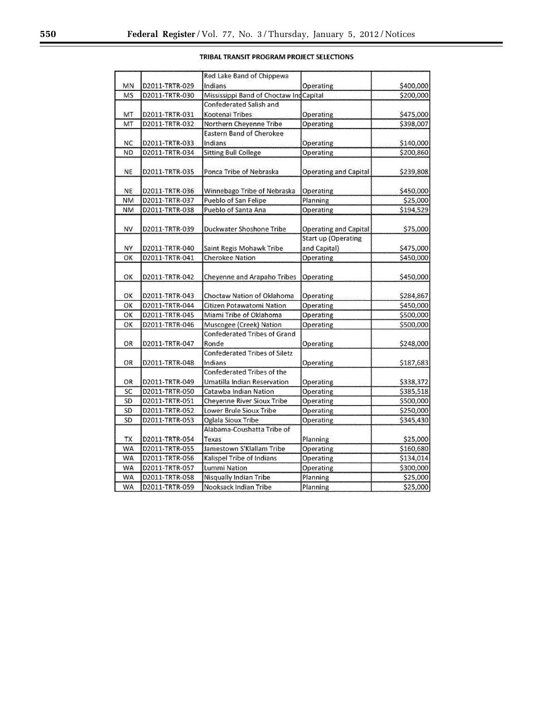# TRIBAL TRANSIT PROGRAM PROJECT SELECTIONS

|           |                                  | Red Lake Band of Chippewa                                  |                              |                        |
|-----------|----------------------------------|------------------------------------------------------------|------------------------------|------------------------|
| MN        | D2011-TRTR-029                   | Indians                                                    | Operating                    | \$400,000              |
| <b>MS</b> | D2011-TRTR-030                   | Mississippi Band of Choctaw Ind                            | Capital                      | \$200,000              |
|           |                                  | <b>Confederated Salish and</b>                             |                              |                        |
| MT        | D2011-TRTR-031                   | Kootenai Tribes                                            | <b>Operating</b>             | \$475,000              |
| MT        | D2011-TRTR-032                   | Northern Cheyenne Tribe                                    | <b>Operating</b>             | \$398,007              |
|           |                                  | Eastern Band of Cherokee                                   |                              |                        |
| NC        | D2011-TRTR-033                   | <b>Indians</b>                                             | <b>Operating</b>             | \$140,000              |
| <b>ND</b> | D2011-TRTR-034                   | <b>Sitting Bull College</b>                                | Operating                    | \$200,860              |
| NE        | D2011-TRTR-035                   | Ponca Tribe of Nebraska                                    | <b>Operating and Capital</b> | \$239,808              |
| NE.       | D2011-TRTR-036                   | Winnebago Tribe of Nebraska                                | Operating                    | \$450,000              |
| <b>NM</b> | D2011-TRTR-037                   | Pueblo of San Felipe                                       | Planning                     | \$25,000               |
| <b>NM</b> | D2011-TRTR-038                   | Pueblo of Santa Ana                                        | Operating                    | \$194,529              |
| NV        | D2011-TRTR-039                   | Duckwater Shoshone Tribe                                   | <b>Operating and Capital</b> | \$75,000               |
|           |                                  |                                                            | <b>Start up (Operating</b>   |                        |
| <b>NY</b> | D2011-TRTR-040                   | Saint Regis Mohawk Tribe                                   | and Capital)                 | \$475,000              |
| OK        | D2011-TRTR-041                   | <b>Cherokee Nation</b>                                     | <b>Operating</b>             | \$450,000              |
| OК        | D2011-TRTR-042                   | <b>Cheyenne and Arapaho Tribes</b>                         | Operating                    | \$450,000              |
| OK        | D2011-TRTR-043                   | Choctaw Nation of Oklahoma                                 | Operating                    | \$284,867              |
| OK        | D2011-TRTR-044                   | Citizen Potawatomi Nation                                  | Operating                    | \$450,000              |
| OK        | D2011-TRTR-045                   | Miami Tribe of Oklahoma                                    | Operating                    | \$500,000              |
| OK.       | D2011-TRTR-046                   | Muscogee (Creek) Nation                                    | Operating                    | \$500,000              |
| OR        | D2011-TRTR-047                   | <b>Confederated Tribes of Grand</b><br>Ronde               | Operating                    | \$248,000              |
|           |                                  | Confederated Tribes of Siletz                              |                              |                        |
| OR        | D2011-TRTR-048                   | Indians                                                    | Operating                    | \$187,683              |
|           |                                  | Confederated Tribes of the                                 |                              |                        |
| OR.       | D2011-TRTR-049                   | Umatilla Indian Reservation                                | <b>Operating</b>             | \$338,372              |
| SC<br>SD  | D2011-TRTR-050<br>D2011-TRTR-051 | Catawba Indian Nation<br><b>Chevenne River Sioux Tribe</b> | Operating<br>Operating       | \$385,518<br>\$500,000 |
| SD        | D2011-TRTR-052                   | Lower Brule Sioux Tribe                                    | Operating                    | \$250,000              |
| SD        | D2011-TRTR-053                   | Oglala Sioux Tribe                                         | Operating                    | \$345,430              |
|           |                                  | Alabama-Coushatta Tribe of                                 |                              |                        |
| TX        | D2011-TRTR-054                   | Texas                                                      | Planning                     | \$25,000               |
| WA        | D2011-TRTR-055                   | Jamestown S'Klallam Tribe                                  | Operating                    | \$160,680              |
| <b>WA</b> | D2011-TRTR-056                   | Kalispel Tribe of Indians                                  | Operating                    | \$134,014              |
| <b>WA</b> | D2011-TRTR-057                   | <b>Lummi Nation</b>                                        | Operating                    | \$300,000              |
| <b>WA</b> | D2011-TRTR-058                   | <b>Nisqually Indian Tribe</b>                              | Planning                     | \$25,000               |
| WA        | D2011-TRTR-059                   | Nooksack Indian Tribe                                      | Planning                     | \$25,000               |